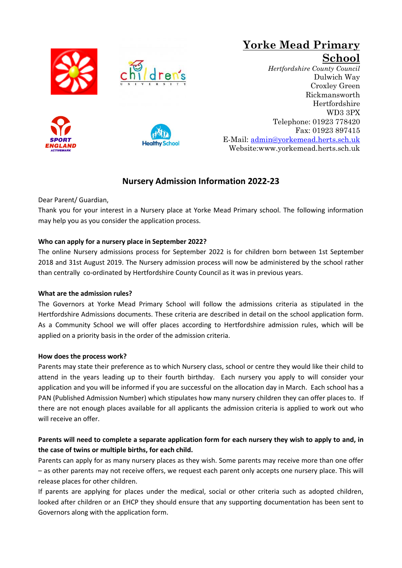







### **Yorke Mead Primary School**  *Hertfordshire County Council* Dulwich Way Croxley Green Rickmansworth Hertfordshire WD3 3PX Telephone: 01923 778420 Fax: 01923 897415 E-Mail: [admin@yorkemead.herts.sch.uk](mailto:admin@yorkemead.herts.sch.uk) Website:www.yorkemead.herts.sch.uk

# **Nursery Admission Information 2022-23**

Dear Parent/ Guardian,

Thank you for your interest in a Nursery place at Yorke Mead Primary school. The following information may help you as you consider the application process.

# **Who can apply for a nursery place in September 2022?**

The online Nursery admissions process for September 2022 is for children born between 1st September 2018 and 31st August 2019. The Nursery admission process will now be administered by the school rather than centrally co-ordinated by Hertfordshire County Council as it was in previous years.

## **What are the admission rules?**

The Governors at Yorke Mead Primary School will follow the admissions criteria as stipulated in the Hertfordshire Admissions documents. These criteria are described in detail on the school application form. As a Community School we will offer places according to Hertfordshire admission rules, which will be applied on a priority basis in the order of the admission criteria.

## **How does the process work?**

Parents may state their preference as to which Nursery class, school or centre they would like their child to attend in the years leading up to their fourth birthday. Each nursery you apply to will consider your application and you will be informed if you are successful on the allocation day in March. Each school has a PAN (Published Admission Number) which stipulates how many nursery children they can offer places to. If there are not enough places available for all applicants the admission criteria is applied to work out who will receive an offer.

# **Parents will need to complete a separate application form for each nursery they wish to apply to and, in the case of twins or multiple births, for each child.**

Parents can apply for as many nursery places as they wish. Some parents may receive more than one offer – as other parents may not receive offers, we request each parent only accepts one nursery place. This will release places for other children.

If parents are applying for places under the medical, social or other criteria such as adopted children, looked after children or an EHCP they should ensure that any supporting documentation has been sent to Governors along with the application form.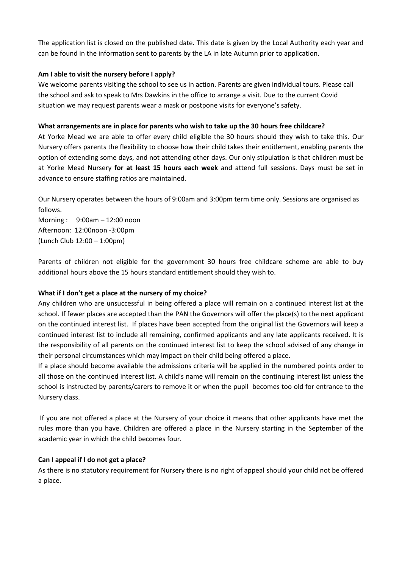The application list is closed on the published date. This date is given by the Local Authority each year and can be found in the information sent to parents by the LA in late Autumn prior to application.

#### **Am I able to visit the nursery before I apply?**

We welcome parents visiting the school to see us in action. Parents are given individual tours. Please call the school and ask to speak to Mrs Dawkins in the office to arrange a visit. Due to the current Covid situation we may request parents wear a mask or postpone visits for everyone's safety.

#### **What arrangements are in place for parents who wish to take up the 30 hours free childcare?**

At Yorke Mead we are able to offer every child eligible the 30 hours should they wish to take this. Our Nursery offers parents the flexibility to choose how their child takes their entitlement, enabling parents the option of extending some days, and not attending other days. Our only stipulation is that children must be at Yorke Mead Nursery **for at least 15 hours each week** and attend full sessions. Days must be set in advance to ensure staffing ratios are maintained.

Our Nursery operates between the hours of 9:00am and 3:00pm term time only. Sessions are organised as follows.

Morning : 9:00am – 12:00 noon Afternoon: 12:00noon -3:00pm (Lunch Club 12:00 – 1:00pm)

Parents of children not eligible for the government 30 hours free childcare scheme are able to buy additional hours above the 15 hours standard entitlement should they wish to.

#### **What if I don't get a place at the nursery of my choice?**

Any children who are unsuccessful in being offered a place will remain on a continued interest list at the school. If fewer places are accepted than the PAN the Governors will offer the place(s) to the next applicant on the continued interest list. If places have been accepted from the original list the Governors will keep a continued interest list to include all remaining, confirmed applicants and any late applicants received. It is the responsibility of all parents on the continued interest list to keep the school advised of any change in their personal circumstances which may impact on their child being offered a place.

If a place should become available the admissions criteria will be applied in the numbered points order to all those on the continued interest list. A child's name will remain on the continuing interest list unless the school is instructed by parents/carers to remove it or when the pupil becomes too old for entrance to the Nursery class.

If you are not offered a place at the Nursery of your choice it means that other applicants have met the rules more than you have. Children are offered a place in the Nursery starting in the September of the academic year in which the child becomes four.

#### **Can I appeal if I do not get a place?**

As there is no statutory requirement for Nursery there is no right of appeal should your child not be offered a place.